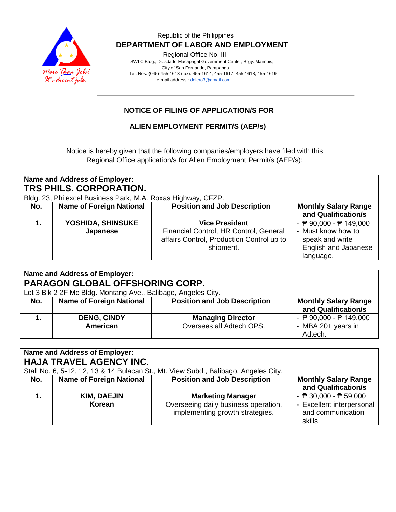

Regional Office No. III

 SWLC Bldg., Diosdado Macapagal Government Center, Brgy. Maimpis, City of San Fernando, Pampanga Tel. Nos. (045)-455-1613 (fax): 455-1614; 455-1617; 455-1618; 455-1619 e-mail address [: dolero3@gmail.com](mailto:dolero3@gmail.com)

## **NOTICE OF FILING OF APPLICATION/S FOR**

### **ALIEN EMPLOYMENT PERMIT/S (AEP/s)**

Notice is hereby given that the following companies/employers have filed with this Regional Office application/s for Alien Employment Permit/s (AEP/s):

| Name and Address of Employer:<br>TRS PHILS, CORPORATION. |                                                              |                                                                                                  |                                                                                   |  |
|----------------------------------------------------------|--------------------------------------------------------------|--------------------------------------------------------------------------------------------------|-----------------------------------------------------------------------------------|--|
|                                                          | Bldg. 23, Philexcel Business Park, M.A. Roxas Highway, CFZP. |                                                                                                  |                                                                                   |  |
| No.                                                      | <b>Name of Foreign National</b>                              | <b>Position and Job Description</b>                                                              | <b>Monthly Salary Range</b><br>and Qualification/s                                |  |
|                                                          | YOSHIDA, SHINSUKE                                            | <b>Vice President</b>                                                                            | - $\overline{P}$ 90,000 - $\overline{P}$ 149,000                                  |  |
|                                                          | Japanese                                                     | Financial Control, HR Control, General<br>affairs Control, Production Control up to<br>shipment. | - Must know how to<br>speak and write<br><b>English and Japanese</b><br>language. |  |

| Name and Address of Employer:          |                                                               |                                     |                                                  |  |
|----------------------------------------|---------------------------------------------------------------|-------------------------------------|--------------------------------------------------|--|
| <b>PARAGON GLOBAL OFFSHORING CORP.</b> |                                                               |                                     |                                                  |  |
|                                        | Lot 3 Blk 2 2F Mc Bldg. Montang Ave., Balibago, Angeles City. |                                     |                                                  |  |
| No.                                    | <b>Name of Foreign National</b>                               | <b>Position and Job Description</b> | <b>Monthly Salary Range</b>                      |  |
|                                        |                                                               |                                     | and Qualification/s                              |  |
|                                        | <b>DENG, CINDY</b>                                            | <b>Managing Director</b>            | - $\overline{P}$ 90,000 - $\overline{P}$ 149,000 |  |
|                                        | American                                                      | Oversees all Adtech OPS.            | - MBA 20+ years in                               |  |
|                                        |                                                               |                                     | Adtech.                                          |  |

| Name and Address of Employer:<br><b>HAJA TRAVEL AGENCY INC.</b><br>Stall No. 6, 5-12, 12, 13 & 14 Bulacan St., Mt. View Subd., Balibago, Angeles City. |                                 |                                                                                                     |                                                                                                              |  |
|--------------------------------------------------------------------------------------------------------------------------------------------------------|---------------------------------|-----------------------------------------------------------------------------------------------------|--------------------------------------------------------------------------------------------------------------|--|
| No.                                                                                                                                                    | <b>Name of Foreign National</b> | <b>Position and Job Description</b>                                                                 | <b>Monthly Salary Range</b><br>and Qualification/s                                                           |  |
|                                                                                                                                                        | <b>KIM, DAEJIN</b><br>Korean    | <b>Marketing Manager</b><br>Overseeing daily business operation,<br>implementing growth strategies. | - $\overline{P}$ 30,000 - $\overline{P}$ 59,000<br>- Excellent interpersonal<br>and communication<br>skills. |  |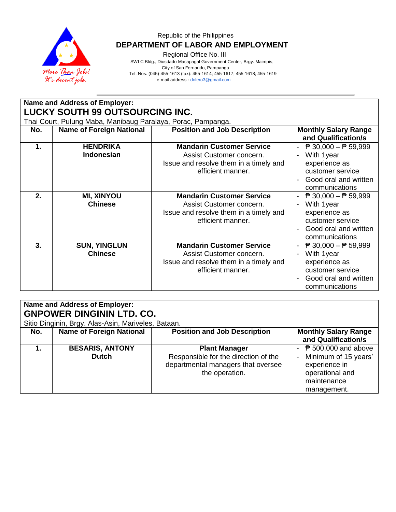

Regional Office No. III

 SWLC Bldg., Diosdado Macapagal Government Center, Brgy. Maimpis, City of San Fernando, Pampanga Tel. Nos. (045)-455-1613 (fax): 455-1614; 455-1617; 455-1618; 455-1619 e-mail address [: dolero3@gmail.com](mailto:dolero3@gmail.com)

| Name and Address of Employer:   |                                                              |                                                                                                                             |                                                                                                                                             |  |  |
|---------------------------------|--------------------------------------------------------------|-----------------------------------------------------------------------------------------------------------------------------|---------------------------------------------------------------------------------------------------------------------------------------------|--|--|
| LUCKY SOUTH 99 OUTSOURCING INC. |                                                              |                                                                                                                             |                                                                                                                                             |  |  |
|                                 | Thai Court, Pulung Maba, Manibaug Paralaya, Porac, Pampanga. |                                                                                                                             |                                                                                                                                             |  |  |
| No.                             | <b>Name of Foreign National</b>                              | <b>Position and Job Description</b>                                                                                         | <b>Monthly Salary Range</b><br>and Qualification/s                                                                                          |  |  |
| 1.                              | <b>HENDRIKA</b><br><b>Indonesian</b>                         | <b>Mandarin Customer Service</b><br>Assist Customer concern.<br>Issue and resolve them in a timely and<br>efficient manner. | $\overline{P}$ 30,000 − $\overline{P}$ 59,999<br>With 1year<br>experience as<br>customer service<br>Good oral and written<br>communications |  |  |
| 2.                              | <b>MI, XINYOU</b><br><b>Chinese</b>                          | <b>Mandarin Customer Service</b><br>Assist Customer concern.<br>Issue and resolve them in a timely and<br>efficient manner. | $\overline{P}$ 30,000 - $\overline{P}$ 59,999<br>With 1year<br>experience as<br>customer service<br>Good oral and written<br>communications |  |  |
| 3.                              | <b>SUN, YINGLUN</b><br><b>Chinese</b>                        | <b>Mandarin Customer Service</b><br>Assist Customer concern.<br>Issue and resolve them in a timely and<br>efficient manner. | $\overline{P}$ 30,000 − $\overline{P}$ 59,999<br>With 1year<br>experience as<br>customer service<br>Good oral and written<br>communications |  |  |

| Name and Address of Employer:<br><b>GNPOWER DINGININ LTD. CO.</b><br>Sitio Dinginin, Brgy. Alas-Asin, Mariveles, Bataan. |                                        |                                                                                                                      |                                                                                                                          |  |
|--------------------------------------------------------------------------------------------------------------------------|----------------------------------------|----------------------------------------------------------------------------------------------------------------------|--------------------------------------------------------------------------------------------------------------------------|--|
| No.                                                                                                                      | <b>Name of Foreign National</b>        | <b>Position and Job Description</b>                                                                                  | <b>Monthly Salary Range</b><br>and Qualification/s                                                                       |  |
|                                                                                                                          | <b>BESARIS, ANTONY</b><br><b>Dutch</b> | <b>Plant Manager</b><br>Responsible for the direction of the<br>departmental managers that oversee<br>the operation. | - $\sqrt{P}$ 500,000 and above<br>Minimum of 15 years'<br>experience in<br>operational and<br>maintenance<br>management. |  |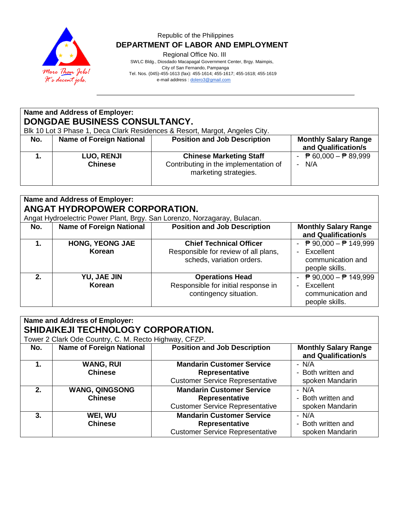

Regional Office No. III

 SWLC Bldg., Diosdado Macapagal Government Center, Brgy. Maimpis, City of San Fernando, Pampanga Tel. Nos. (045)-455-1613 (fax): 455-1614; 455-1617; 455-1618; 455-1619

e-mail address [: dolero3@gmail.com](mailto:dolero3@gmail.com)

# **Name and Address of Employer: DONGDAE BUSINESS CONSULTANCY.**

Blk 10 Lot 3 Phase 1, Deca Clark Residences & Resort, Margot, Angeles City.

| No. | <b>Name of Foreign National</b>     | <b>Position and Job Description</b>                                                              | <b>Monthly Salary Range</b><br>and Qualification/s |
|-----|-------------------------------------|--------------------------------------------------------------------------------------------------|----------------------------------------------------|
|     | <b>LUO, RENJI</b><br><b>Chinese</b> | <b>Chinese Marketing Staff</b><br>Contributing in the implementation of<br>marketing strategies. | ₱ 60,000 – ₱ 89,999<br>N/A                         |

| Name and Address of Employer:<br><b>ANGAT HYDROPOWER CORPORATION.</b>                                                                                                                                           |                                  |                                                                                                     |                                                                                                        |  |
|-----------------------------------------------------------------------------------------------------------------------------------------------------------------------------------------------------------------|----------------------------------|-----------------------------------------------------------------------------------------------------|--------------------------------------------------------------------------------------------------------|--|
| Angat Hydroelectric Power Plant, Brgy. San Lorenzo, Norzagaray, Bulacan.<br><b>Position and Job Description</b><br><b>Name of Foreign National</b><br><b>Monthly Salary Range</b><br>No.<br>and Qualification/s |                                  |                                                                                                     |                                                                                                        |  |
|                                                                                                                                                                                                                 | <b>HONG, YEONG JAE</b><br>Korean | <b>Chief Technical Officer</b><br>Responsible for review of all plans,<br>scheds, variation orders. | - $\overline{P}$ 90,000 - $\overline{P}$ 149,999<br>Excellent<br>communication and<br>people skills.   |  |
| 2.                                                                                                                                                                                                              | YU, JAE JIN<br>Korean            | <b>Operations Head</b><br>Responsible for initial response in<br>contingency situation.             | - $\overline{P}$ 90,000 - $\overline{P}$ 149,999<br>- Excellent<br>communication and<br>people skills. |  |

| <b>Name and Address of Employer:</b><br><b>SHIDAIKEJI TECHNOLOGY CORPORATION.</b> |                                                       |                                        |                                                    |  |
|-----------------------------------------------------------------------------------|-------------------------------------------------------|----------------------------------------|----------------------------------------------------|--|
|                                                                                   | Tower 2 Clark Ode Country, C. M. Recto Highway, CFZP. |                                        |                                                    |  |
| No.                                                                               | <b>Name of Foreign National</b>                       | <b>Position and Job Description</b>    | <b>Monthly Salary Range</b><br>and Qualification/s |  |
| 1.                                                                                | <b>WANG, RUI</b>                                      | <b>Mandarin Customer Service</b>       | - N/A                                              |  |
|                                                                                   | <b>Chinese</b>                                        | Representative                         | - Both written and                                 |  |
|                                                                                   |                                                       | <b>Customer Service Representative</b> | spoken Mandarin                                    |  |
| 2.                                                                                | <b>WANG, QINGSONG</b>                                 | <b>Mandarin Customer Service</b>       | $- N/A$                                            |  |
|                                                                                   | <b>Chinese</b>                                        | Representative                         | - Both written and                                 |  |
|                                                                                   |                                                       | <b>Customer Service Representative</b> | spoken Mandarin                                    |  |
| 3.                                                                                | WEI, WU                                               | <b>Mandarin Customer Service</b>       | - N/A                                              |  |
|                                                                                   | <b>Chinese</b>                                        | <b>Representative</b>                  | - Both written and                                 |  |
|                                                                                   |                                                       | <b>Customer Service Representative</b> | spoken Mandarin                                    |  |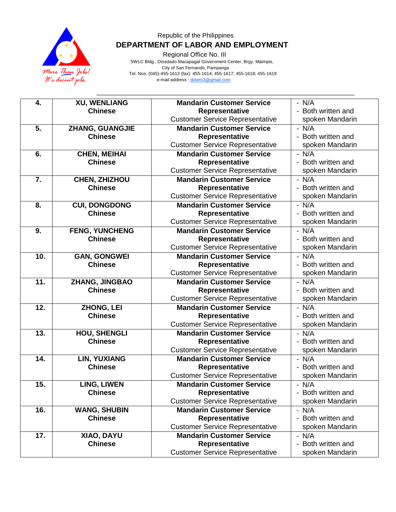

Regional Office No. III

 SWLC Bldg., Diosdado Macapagal Government Center, Brgy. Maimpis, City of San Fernando, Pampanga Tel. Nos. (045)-455-1613 (fax): 455-1614; 455-1617; 455-1618; 455-1619 e-mail address [: dolero3@gmail.com](mailto:dolero3@gmail.com)

| 4.  | <b>XU, WENLIANG</b>   | <b>Mandarin Customer Service</b>       | $- N/A$            |
|-----|-----------------------|----------------------------------------|--------------------|
|     | <b>Chinese</b>        | Representative                         | - Both written and |
|     |                       | <b>Customer Service Representative</b> | spoken Mandarin    |
| 5.  | ZHANG, GUANGJIE       | <b>Mandarin Customer Service</b>       | $- N/A$            |
|     | <b>Chinese</b>        | Representative                         | - Both written and |
|     |                       | <b>Customer Service Representative</b> | spoken Mandarin    |
| 6.  | <b>CHEN, MEIHAI</b>   | <b>Mandarin Customer Service</b>       | $- N/A$            |
|     | <b>Chinese</b>        | Representative                         | - Both written and |
|     |                       | <b>Customer Service Representative</b> | spoken Mandarin    |
| 7.  | <b>CHEN, ZHIZHOU</b>  | <b>Mandarin Customer Service</b>       | $- N/A$            |
|     | <b>Chinese</b>        | Representative                         | - Both written and |
|     |                       | <b>Customer Service Representative</b> | spoken Mandarin    |
| 8.  | <b>CUI, DONGDONG</b>  | <b>Mandarin Customer Service</b>       | $- N/\overline{A}$ |
|     | <b>Chinese</b>        | Representative                         | - Both written and |
|     |                       | <b>Customer Service Representative</b> | spoken Mandarin    |
| 9.  | <b>FENG, YUNCHENG</b> | <b>Mandarin Customer Service</b>       | $- N/A$            |
|     | <b>Chinese</b>        | Representative                         | - Both written and |
|     |                       | <b>Customer Service Representative</b> | spoken Mandarin    |
| 10. | <b>GAN, GONGWEI</b>   | <b>Mandarin Customer Service</b>       | $- N/A$            |
|     | <b>Chinese</b>        | Representative                         | - Both written and |
|     |                       | <b>Customer Service Representative</b> | spoken Mandarin    |
| 11. | ZHANG, JINGBAO        | <b>Mandarin Customer Service</b>       | $- N/A$            |
|     | <b>Chinese</b>        | Representative                         | - Both written and |
|     |                       | <b>Customer Service Representative</b> | spoken Mandarin    |
| 12. | ZHONG, LEI            | <b>Mandarin Customer Service</b>       | $- N/A$            |
|     | <b>Chinese</b>        | Representative                         | - Both written and |
|     |                       | <b>Customer Service Representative</b> | spoken Mandarin    |
| 13. | <b>HOU, SHENGLI</b>   | <b>Mandarin Customer Service</b>       | $- N/A$            |
|     | <b>Chinese</b>        | Representative                         | - Both written and |
|     |                       | <b>Customer Service Representative</b> | spoken Mandarin    |
| 14. | <b>LIN, YUXIANG</b>   | <b>Mandarin Customer Service</b>       | $- N/A$            |
|     | <b>Chinese</b>        | Representative                         | - Both written and |
|     |                       | <b>Customer Service Representative</b> | spoken Mandarin    |
| 15. | LING, LIWEN           | <b>Mandarin Customer Service</b>       | $- N/A$            |
|     | <b>Chinese</b>        | Representative                         | - Both written and |
|     |                       | <b>Customer Service Representative</b> | spoken Mandarin    |
| 16. | <b>WANG, SHUBIN</b>   | <b>Mandarin Customer Service</b>       | $- N/A$            |
|     | <b>Chinese</b>        | Representative                         | - Both written and |
|     |                       | <b>Customer Service Representative</b> | spoken Mandarin    |
| 17. | XIAO, DAYU            | <b>Mandarin Customer Service</b>       | $- N/A$            |
|     | <b>Chinese</b>        | Representative                         | Both written and   |
|     |                       | <b>Customer Service Representative</b> | spoken Mandarin    |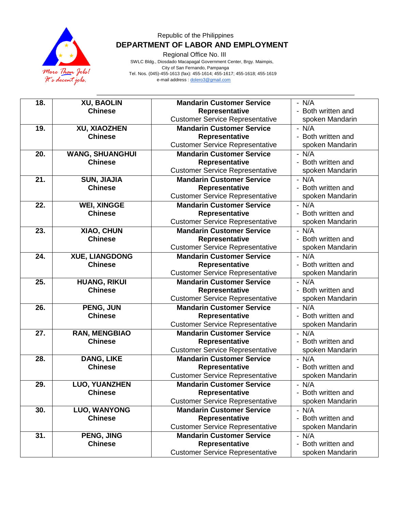

Regional Office No. III

 SWLC Bldg., Diosdado Macapagal Government Center, Brgy. Maimpis, City of San Fernando, Pampanga Tel. Nos. (045)-455-1613 (fax): 455-1614; 455-1617; 455-1618; 455-1619 e-mail address [: dolero3@gmail.com](mailto:dolero3@gmail.com)

| 18. | <b>XU, BAOLIN</b>      | <b>Mandarin Customer Service</b>       | $- N/A$            |
|-----|------------------------|----------------------------------------|--------------------|
|     | <b>Chinese</b>         | Representative                         | - Both written and |
|     |                        | <b>Customer Service Representative</b> | spoken Mandarin    |
| 19. | XU, XIAOZHEN           | <b>Mandarin Customer Service</b>       | $- N/A$            |
|     | <b>Chinese</b>         | Representative                         | - Both written and |
|     |                        | <b>Customer Service Representative</b> | spoken Mandarin    |
| 20. | <b>WANG, SHUANGHUI</b> | <b>Mandarin Customer Service</b>       | $- N/A$            |
|     | <b>Chinese</b>         | Representative                         | - Both written and |
|     |                        | <b>Customer Service Representative</b> | spoken Mandarin    |
| 21. | <b>SUN, JIAJIA</b>     | <b>Mandarin Customer Service</b>       | $- N/A$            |
|     | <b>Chinese</b>         | Representative                         | - Both written and |
|     |                        | <b>Customer Service Representative</b> | spoken Mandarin    |
| 22. | <b>WEI, XINGGE</b>     | <b>Mandarin Customer Service</b>       | $- N/A$            |
|     | <b>Chinese</b>         | Representative                         | - Both written and |
|     |                        | <b>Customer Service Representative</b> | spoken Mandarin    |
| 23. | XIAO, CHUN             | <b>Mandarin Customer Service</b>       | $- N/A$            |
|     | <b>Chinese</b>         | Representative                         | - Both written and |
|     |                        | <b>Customer Service Representative</b> | spoken Mandarin    |
| 24. | <b>XUE, LIANGDONG</b>  | <b>Mandarin Customer Service</b>       | $- N/A$            |
|     | <b>Chinese</b>         | Representative                         | - Both written and |
|     |                        | <b>Customer Service Representative</b> | spoken Mandarin    |
| 25. | <b>HUANG, RIKUI</b>    | <b>Mandarin Customer Service</b>       | $- N/A$            |
|     | <b>Chinese</b>         | Representative                         | - Both written and |
|     |                        | <b>Customer Service Representative</b> | spoken Mandarin    |
| 26. | PENG, JUN              | <b>Mandarin Customer Service</b>       | $- N/A$            |
|     | <b>Chinese</b>         | Representative                         | - Both written and |
|     |                        | <b>Customer Service Representative</b> | spoken Mandarin    |
| 27. | <b>RAN, MENGBIAO</b>   | <b>Mandarin Customer Service</b>       | $- N/A$            |
|     | <b>Chinese</b>         | Representative                         | - Both written and |
|     |                        | <b>Customer Service Representative</b> | spoken Mandarin    |
| 28. | <b>DANG, LIKE</b>      | <b>Mandarin Customer Service</b>       | $- N/A$            |
|     | <b>Chinese</b>         | Representative                         | - Both written and |
|     |                        | <b>Customer Service Representative</b> | spoken Mandarin    |
| 29. | <b>LUO, YUANZHEN</b>   | <b>Mandarin Customer Service</b>       | $- N/A$            |
|     | <b>Chinese</b>         | Representative                         | - Both written and |
|     |                        | <b>Customer Service Representative</b> | spoken Mandarin    |
| 30. | <b>LUO, WANYONG</b>    | <b>Mandarin Customer Service</b>       | $- N/A$            |
|     | <b>Chinese</b>         | Representative                         | - Both written and |
|     |                        | <b>Customer Service Representative</b> | spoken Mandarin    |
| 31. | PENG, JING             | <b>Mandarin Customer Service</b>       | $- N/A$            |
|     | <b>Chinese</b>         | Representative                         | - Both written and |
|     |                        | <b>Customer Service Representative</b> | spoken Mandarin    |